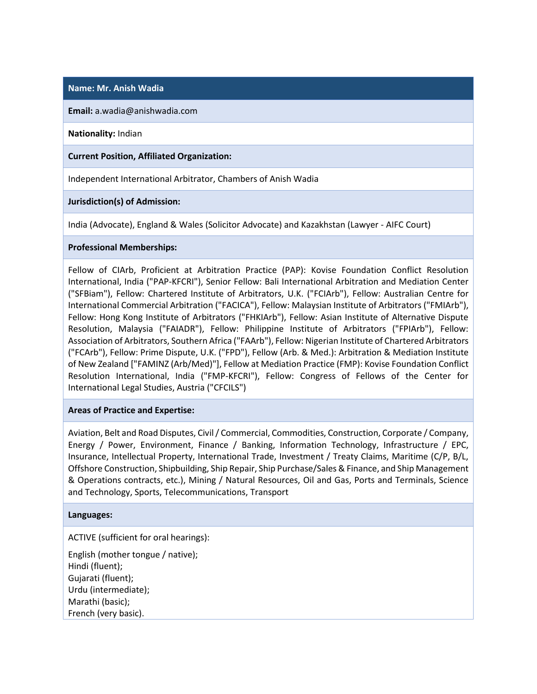## **Name: Mr. Anish Wadia**

**Email:** a.wadia@anishwadia.com

**Nationality:** Indian

**Current Position, Affiliated Organization:**

Independent International Arbitrator, Chambers of Anish Wadia

**Jurisdiction(s) of Admission:**

India (Advocate), England & Wales (Solicitor Advocate) and Kazakhstan (Lawyer - AIFC Court)

## **Professional Memberships:**

Fellow of CIArb, Proficient at Arbitration Practice (PAP): Kovise Foundation Conflict Resolution International, India ("PAP-KFCRI"), Senior Fellow: Bali International Arbitration and Mediation Center ("SFBiam"), Fellow: Chartered Institute of Arbitrators, U.K. ("FCIArb"), Fellow: Australian Centre for International Commercial Arbitration ("FACICA"), Fellow: Malaysian Institute of Arbitrators ("FMIArb"), Fellow: Hong Kong Institute of Arbitrators ("FHKIArb"), Fellow: Asian Institute of Alternative Dispute Resolution, Malaysia ("FAIADR"), Fellow: Philippine Institute of Arbitrators ("FPIArb"), Fellow: Association of Arbitrators, Southern Africa ("FAArb"), Fellow: Nigerian Institute of Chartered Arbitrators ("FCArb"), Fellow: Prime Dispute, U.K. ("FPD"), Fellow (Arb. & Med.): Arbitration & Mediation Institute of New Zealand ["FAMINZ (Arb/Med)"], Fellow at Mediation Practice (FMP): Kovise Foundation Conflict Resolution International, India ("FMP-KFCRI"), Fellow: Congress of Fellows of the Center for International Legal Studies, Austria ("CFCILS")

## **Areas of Practice and Expertise:**

Aviation, Belt and Road Disputes, Civil / Commercial, Commodities, Construction, Corporate / Company, Energy / Power, Environment, Finance / Banking, Information Technology, Infrastructure / EPC, Insurance, Intellectual Property, International Trade, Investment / Treaty Claims, Maritime (C/P, B/L, Offshore Construction, Shipbuilding, Ship Repair, Ship Purchase/Sales & Finance, and Ship Management & Operations contracts, etc.), Mining / Natural Resources, Oil and Gas, Ports and Terminals, Science and Technology, Sports, Telecommunications, Transport

## **Languages:**

ACTIVE (sufficient for oral hearings):

English (mother tongue / native); Hindi (fluent); Gujarati (fluent); Urdu (intermediate); Marathi (basic); French (very basic).